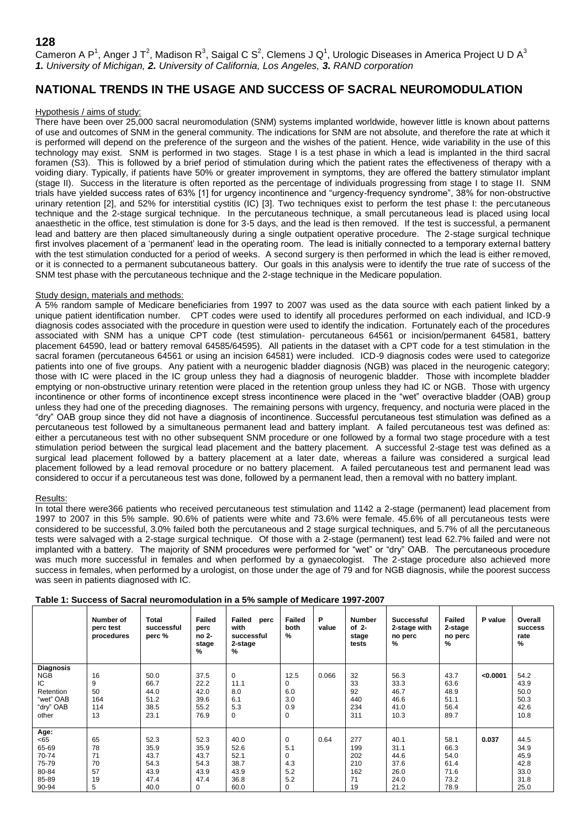Cameron A P<sup>1</sup>, Anger J T<sup>2</sup>, Madison R<sup>3</sup>, Saigal C S<sup>2</sup>, Clemens J Q<sup>1</sup>, Urologic Diseases in America Project U D A<sup>3</sup> *1. University of Michigan, 2. University of California, Los Angeles, 3. RAND corporation*

# **NATIONAL TRENDS IN THE USAGE AND SUCCESS OF SACRAL NEUROMODULATION**

## Hypothesis / aims of study:

There have been over 25,000 sacral neuromodulation (SNM) systems implanted worldwide, however little is known about patterns of use and outcomes of SNM in the general community. The indications for SNM are not absolute, and therefore the rate at which it is performed will depend on the preference of the surgeon and the wishes of the patient. Hence, wide variability in the use of this technology may exist. SNM is performed in two stages. Stage I is a test phase in which a lead is implanted in the third sacral foramen (S3). This is followed by a brief period of stimulation during which the patient rates the effectiveness of therapy with a voiding diary. Typically, if patients have 50% or greater improvement in symptoms, they are offered the battery stimulator implant (stage II). Success in the literature is often reported as the percentage of individuals progressing from stage I to stage II. SNM trials have yielded success rates of 63% [1] for urgency incontinence and "urgency-frequency syndrome", 38% for non-obstructive urinary retention [2], and 52% for interstitial cystitis (IC) [3]. Two techniques exist to perform the test phase I: the percutaneous technique and the 2-stage surgical technique. In the percutaneous technique, a small percutaneous lead is placed using local anaesthetic in the office, test stimulation is done for 3-5 days, and the lead is then removed. If the test is successful, a permanent lead and battery are then placed simultaneously during a single outpatient operative procedure. The 2-stage surgical technique first involves placement of a 'permanent' lead in the operating room. The lead is initially connected to a temporary external battery with the test stimulation conducted for a period of weeks. A second surgery is then performed in which the lead is either removed, or it is connected to a permanent subcutaneous battery. Our goals in this analysis were to identify the true rate of success of the SNM test phase with the percutaneous technique and the 2-stage technique in the Medicare population.

# Study design, materials and methods:

A 5% random sample of Medicare beneficiaries from 1997 to 2007 was used as the data source with each patient linked by a unique patient identification number. CPT codes were used to identify all procedures performed on each individual, and ICD-9 diagnosis codes associated with the procedure in question were used to identify the indication. Fortunately each of the procedures associated with SNM has a unique CPT code (test stimulation- percutaneous 64561 or incision/permanent 64581, battery placement 64590, lead or battery removal 64585/64595). All patients in the dataset with a CPT code for a test stimulation in the sacral foramen (percutaneous 64561 or using an incision 64581) were included. ICD-9 diagnosis codes were used to categorize patients into one of five groups. Any patient with a neurogenic bladder diagnosis (NGB) was placed in the neurogenic category; those with IC were placed in the IC group unless they had a diagnosis of neurogenic bladder. Those with incomplete bladder emptying or non-obstructive urinary retention were placed in the retention group unless they had IC or NGB. Those with urgency incontinence or other forms of incontinence except stress incontinence were placed in the "wet" overactive bladder (OAB) group unless they had one of the preceding diagnoses. The remaining persons with urgency, frequency, and nocturia were placed in the "dry" OAB group since they did not have a diagnosis of incontinence. Successful percutaneous test stimulation was defined as a percutaneous test followed by a simultaneous permanent lead and battery implant. A failed percutaneous test was defined as: either a percutaneous test with no other subsequent SNM procedure or one followed by a formal two stage procedure with a test stimulation period between the surgical lead placement and the battery placement. A successful 2-stage test was defined as a surgical lead placement followed by a battery placement at a later date, whereas a failure was considered a surgical lead placement followed by a lead removal procedure or no battery placement. A failed percutaneous test and permanent lead was considered to occur if a percutaneous test was done, followed by a permanent lead, then a removal with no battery implant.

### Results:

In total there were366 patients who received percutaneous test stimulation and 1142 a 2-stage (permanent) lead placement from 1997 to 2007 in this 5% sample. 90.6% of patients were white and 73.6% were female. 45.6% of all percutaneous tests were considered to be successful, 3.0% failed both the percutaneous and 2 stage surgical techniques, and 5.7% of all the percutaneous tests were salvaged with a 2-stage surgical technique. Of those with a 2-stage (permanent) test lead 62.7% failed and were not implanted with a battery. The majority of SNM procedures were performed for "wet" or "dry" OAB. The percutaneous procedure was much more successful in females and when performed by a gynaecologist. The 2-stage procedure also achieved more success in females, when performed by a urologist, on those under the age of 79 and for NGB diagnosis, while the poorest success was seen in patients diagnosed with IC.

|                                                                               | Number of<br>perc test<br>procedures  | Total<br>successful<br>perc %                        | <b>Failed</b><br>perc<br>no 2-<br>stage<br>%             | Failed<br>perc<br>with<br>successful<br>2-stage<br>% | Failed<br>both<br>$\%$                  | P<br>value | <b>Number</b><br>of $2-$<br>stage<br>tests  | <b>Successful</b><br>2-stage with<br>no perc<br>%    | <b>Failed</b><br>2-stage<br>no perc<br>%             | P value  | Overall<br><b>SUCCESS</b><br>rate<br>$\%$            |
|-------------------------------------------------------------------------------|---------------------------------------|------------------------------------------------------|----------------------------------------------------------|------------------------------------------------------|-----------------------------------------|------------|---------------------------------------------|------------------------------------------------------|------------------------------------------------------|----------|------------------------------------------------------|
| Diagnosis<br><b>NGB</b><br>IC<br>Retention<br>"wet" OAB<br>"dry" OAB<br>other | 16<br>9<br>50<br>164<br>114<br>13     | 50.0<br>66.7<br>44.0<br>51.2<br>38.5<br>23.1         | 37.5<br>22.2<br>42.0<br>39.6<br>55.2<br>76.9             | $\mathbf 0$<br>11.1<br>8.0<br>6.1<br>5.3<br>0        | 12.5<br>0<br>6.0<br>3.0<br>0.9<br>0     | 0.066      | 32<br>33<br>92<br>440<br>234<br>311         | 56.3<br>33.3<br>46.7<br>46.6<br>41.0<br>10.3         | 43.7<br>63.6<br>48.9<br>51.1<br>56.4<br>89.7         | < 0.0001 | 54.2<br>43.9<br>50.0<br>50.3<br>42.6<br>10.8         |
| Age:<br><65<br>65-69<br>70-74<br>75-79<br>80-84<br>85-89<br>90-94             | 65<br>78<br>71<br>70<br>57<br>19<br>5 | 52.3<br>35.9<br>43.7<br>54.3<br>43.9<br>47.4<br>40.0 | 52.3<br>35.9<br>43.7<br>54.3<br>43.9<br>47.4<br>$\Omega$ | 40.0<br>52.6<br>52.1<br>38.7<br>43.9<br>36.8<br>60.0 | 0<br>5.1<br>0<br>4.3<br>5.2<br>5.2<br>0 | 0.64       | 277<br>199<br>202<br>210<br>162<br>71<br>19 | 40.1<br>31.1<br>44.6<br>37.6<br>26.0<br>24.0<br>21.2 | 58.1<br>66.3<br>54.0<br>61.4<br>71.6<br>73.2<br>78.9 | 0.037    | 44.5<br>34.9<br>45.9<br>42.8<br>33.0<br>31.8<br>25.0 |

**Table 1: Success of Sacral neuromodulation in a 5% sample of Medicare 1997-2007**